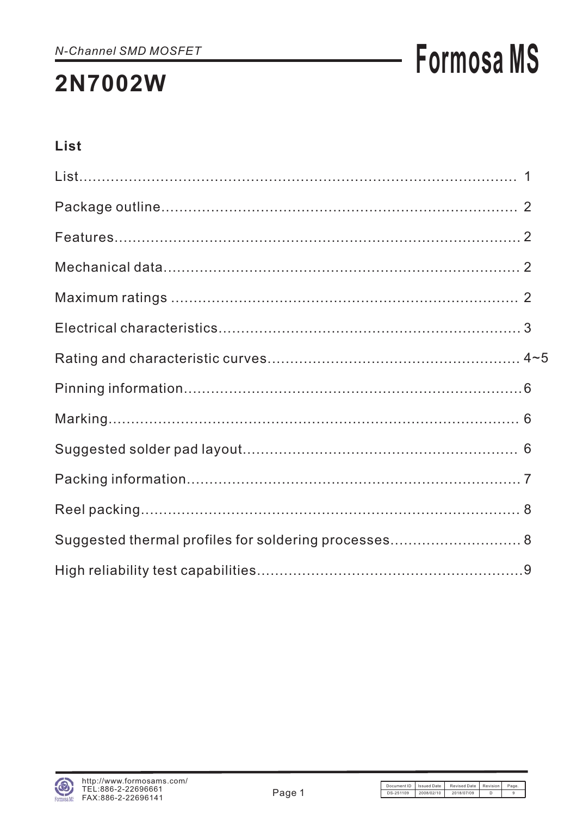## **Formosa MS**

### **List**

| Suggested thermal profiles for soldering processes 8 |  |
|------------------------------------------------------|--|
|                                                      |  |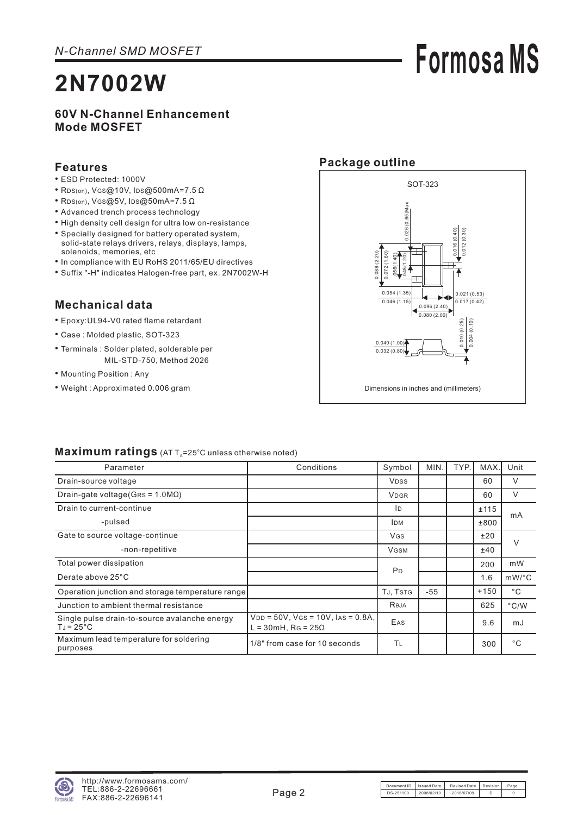# **Formosa MS**

#### **60V N-Channel Enhancement Mode MOSFET**

#### **Features**

- ESD Protected: 1000V
- RDS(on), VGS@10V, IDS@500mA=7.5 Ω
- Rps(on), V  $s$  @5V, I  $ps$  @50 m A = 7.5  $\Omega$
- Advanced trench process technology
- High density cell design for ultra low on-resistance
- Specially designed for battery operated system, solid-state relays drivers, relays, displays, lamps, solenoids, memories, etc
- In compliance with EU RoHS 2011/65/EU directives
- Suffix "-H" indicates Halogen-free part, ex. 2N7002W-H

#### **Mechanical data**

- Epoxy:UL94-V0 rated flame retardant
- Case : Molded plastic, SOT-323
- Terminals : Solder plated, solderable per MIL-STD-750, Method 2026
- Mounting Position : Any
- Weight : Approximated 0.006 gram

#### **Package outline**



#### Maximum ratings (AT T<sub>A</sub>=25°C unless otherwise noted)

| Parameter                                                            | Conditions                                                                       | Symbol         | MIN.  | TYP. | MAX.   | Unit          |
|----------------------------------------------------------------------|----------------------------------------------------------------------------------|----------------|-------|------|--------|---------------|
| Drain-source voltage                                                 |                                                                                  | <b>VDSS</b>    |       |      | 60     | V             |
| Drain-gate voltage (GRS = $1.0 M\Omega$ )                            |                                                                                  | <b>VDGR</b>    |       |      | 60     | V             |
| Drain to current-continue                                            |                                                                                  | ID             |       |      | ±115   | mA            |
| -pulsed                                                              |                                                                                  | <b>IDM</b>     |       |      | ±800   |               |
| Gate to source voltage-continue                                      |                                                                                  | <b>VGS</b>     |       |      | ±20    | $\vee$        |
| -non-repetitive                                                      |                                                                                  | <b>VGSM</b>    |       |      | ±40    |               |
| Total power dissipation                                              |                                                                                  | P <sub>D</sub> |       |      | 200    | mW            |
| Derate above 25°C                                                    |                                                                                  |                |       |      | 1.6    | $mW$ /°C      |
| Operation junction and storage temperature range                     |                                                                                  | TJ, TSTG       | $-55$ |      | $+150$ | $^{\circ}$ C  |
| Junction to ambient thermal resistance                               |                                                                                  | Reja           |       |      | 625    | $\degree$ C/W |
| Single pulse drain-to-source avalanche energy<br>$T_J = 25^{\circ}C$ | $V_{DD} = 50V$ , $V_{GS} = 10V$ , $I_{AS} = 0.8A$ ,<br>L = 30mH, RG = $25\Omega$ | EAS            |       |      | 9.6    | mJ            |
| Maximum lead temperature for soldering<br>purposes                   | 1/8" from case for 10 seconds                                                    | ΤL             |       |      | 300    | $^{\circ}$ C  |

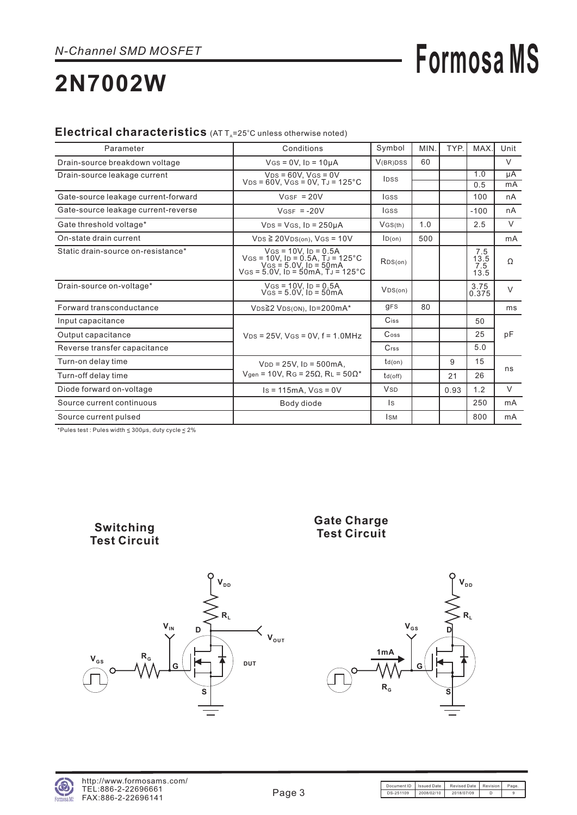## **Formosa MS**

### **2N7002W**

#### Electrical characteristics (AT T<sub>A</sub>=25°C unless otherwise noted)

| Parameter                           | Conditions                                                                                                                                             | Symbol                | MIN. | TYP. | MAX.                       | Unit     |
|-------------------------------------|--------------------------------------------------------------------------------------------------------------------------------------------------------|-----------------------|------|------|----------------------------|----------|
| Drain-source breakdown voltage      | $V$ GS = 0V, Ip = 10µA                                                                                                                                 | V(BR)DSS              | 60   |      |                            | $\vee$   |
| Drain-source leakage current        | $VDS = 60V$ . $VGS = 0V$<br>$VDS = 60V$ , $VGS = 0V$ , $TJ = 125°C$                                                                                    | <b>IDSS</b>           |      |      | 1.0<br>0.5                 | μA<br>mA |
| Gate-source leakage current-forward | $VGSF = 20V$                                                                                                                                           | lgss                  |      |      | 100                        | nA       |
| Gate-source leakage current-reverse | $VGSF = -20V$                                                                                                                                          | <b>IGSS</b>           |      |      | $-100$                     | nA       |
| Gate threshold voltage*             | $VDS = VGS$ , $ID = 250\mu A$                                                                                                                          | VGS(th)               | 1.0  |      | 2.5                        | $\vee$   |
| On-state drain current              | $VDS \geq 20VDS(0n)$ , $VGS = 10V$                                                                                                                     | ID(on)                | 500  |      |                            | mA       |
| Static drain-source on-resistance*  | $V$ GS = 10V. ID = 0.5A<br>VGS = $10V$ , ID = 0.5A, $\tilde{T}$ J = 125 °C<br>VGS = 5.0V, ID = 50mA<br>$V$ GS = 5.0V, ID = 50mA, TJ = 125 $^{\circ}$ C | RDS(on)               |      |      | 7.5<br>13.5<br>7.5<br>13.5 | Ω        |
| Drain-source on-voltage*            | $V$ GS = 10V, ID = 0.5A<br>$V$ GS = 5.0V. ID = 50mA                                                                                                    | VDS(0n)               |      |      | 3.75<br>0.375              | $\vee$   |
| Forward transconductance            | VDS≧2 VDS(ON), ID=200mA*                                                                                                                               | <b>gFS</b>            | 80   |      |                            | ms       |
| Input capacitance                   |                                                                                                                                                        | Ciss                  |      |      | 50                         |          |
| Output capacitance                  | $V_{DS} = 25V$ , $V_{GS} = 0V$ , $f = 1.0 MHz$                                                                                                         | Coss                  |      |      | 25                         | pF       |
| Reverse transfer capacitance        |                                                                                                                                                        | $C$ <sub>rss</sub>    |      |      | 5.0                        |          |
| Turn-on delay time                  | $V_{DD} = 25V$ , $I_D = 500mA$ ,                                                                                                                       | $td($ on $)$          |      | 9    | 15                         |          |
| Turn-off delay time                 | $V_{gen}$ = 10V, RG = 25 $\Omega$ , RL = 50 $\Omega^*$                                                                                                 | td(off)               |      | 21   | 26                         | ns       |
| Diode forward on-voltage            | $Is = 115mA$ , $Vgs = 0V$                                                                                                                              | <b>V<sub>SD</sub></b> |      | 0.93 | 1.2                        | V        |
| Source current continuous           | Body diode                                                                                                                                             | Is                    |      |      | 250                        | mA       |
| Source current pulsed               |                                                                                                                                                        | <b>I</b> SM           |      |      | 800                        | mA       |

\*Pules test : Pules width  $\leq 300 \mu s$ , duty cycle  $\leq 2\%$ 

**Switching Test Circuit**





**1mA RG VGS**  $V_{DD}$ **RL D G S**

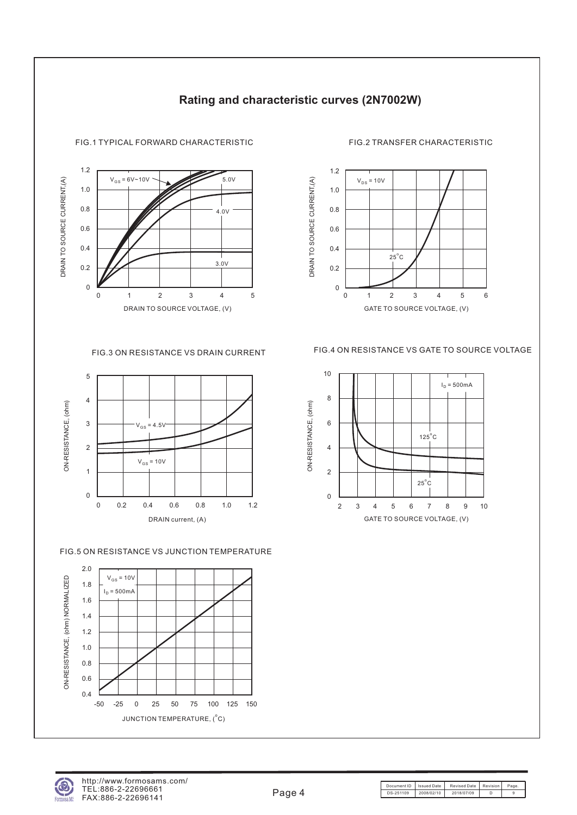

#### **Rating and characteristic curves (2N7002W)**



#### FIG.5 ON RESISTANCE VS JUNCTION TEMPERATURE





#### FIG.1 TYPICAL FORWARD CHARACTERISTIC FIG.2 TRANSFER CHARACTERISTIC



01234 6

5

GATE TO SOURCE VOLTAGE, (V)



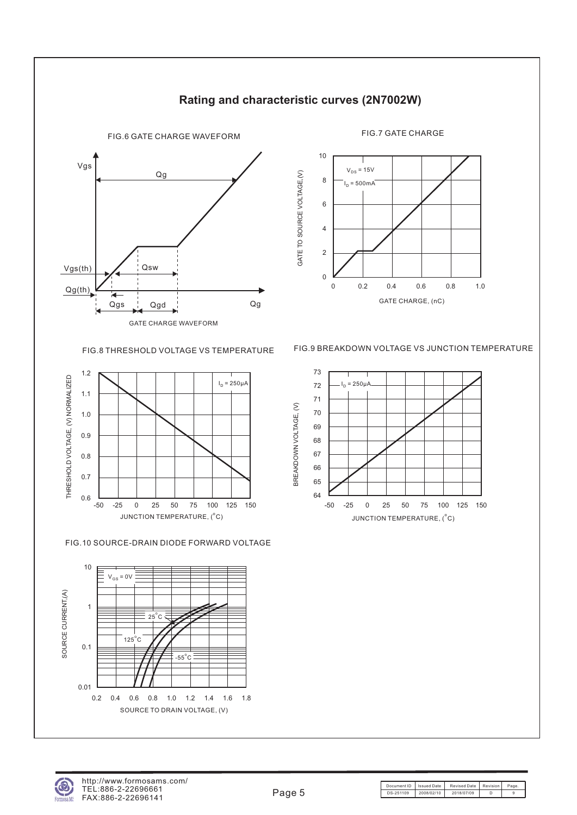

#### **Rating and characteristic curves (2N7002W)**

GATE TO SOURCE VOLTAGE,(V)

GATE TO SOURCE VOLTAGE, (V)

0 0.2 0.4 0.6 0.8 1.0 10 8 2 4 6 0 GATE CHARGE, (nC) I<sub>D</sub> = 500mA  $V_{DS} = 15V$ 



FIG.10 SOURCE-DRAIN DIODE FORWARD VOLTAGE



FIG.8 THRESHOLD VOLTAGE VS TEMPERATURE FIG.9 BREAKDOWN VOLTAGE VS JUNCTION TEMPERATURE





Document ID | Issued Date | Revised Date | Revision | Page DS-251109 2008/02/10 2018/07/09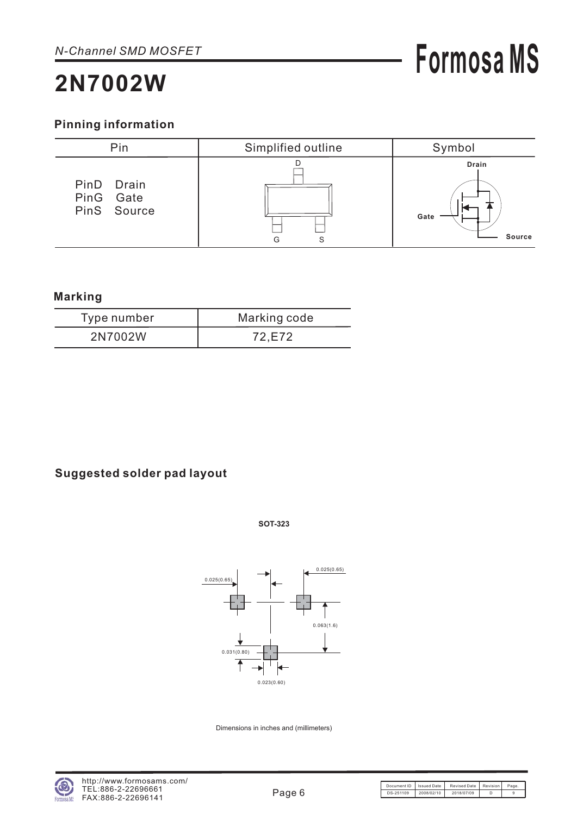#### **Pinning information**



#### **Marking**

| Type number | Marking code |
|-------------|--------------|
| 2N7002W     | 72.E72       |

#### **Suggested solder pad layout**





Dimensions in inches and (millimeters)

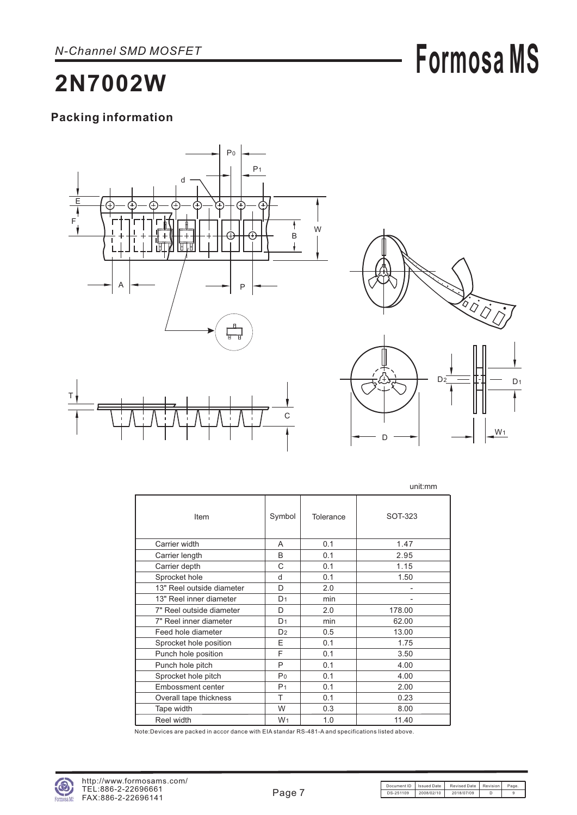# **Formosa MS**

### **2N7002W**

#### **Packing information**





W<sub>1</sub>

D

|                           |                |           | unit:mm |
|---------------------------|----------------|-----------|---------|
| Item                      | Symbol         | Tolerance | SOT-323 |
| Carrier width             | A              | 0.1       | 1.47    |
| Carrier length            | B              | 0.1       | 2.95    |
| Carrier depth             | C              | 0.1       | 1.15    |
| Sprocket hole             | d              | 0.1       | 1.50    |
| 13" Reel outside diameter | D              | 2.0       |         |
| 13" Reel inner diameter   | D <sub>1</sub> | min       |         |
| 7" Reel outside diameter  | D              | 2.0       | 178.00  |
| 7" Reel inner diameter    | D <sub>1</sub> | min       | 62.00   |
| Feed hole diameter        | D <sub>2</sub> | 0.5       | 13.00   |
| Sprocket hole position    | E              | 0.1       | 1.75    |
| Punch hole position       | F              | 0.1       | 3.50    |
| Punch hole pitch          | P              | 0.1       | 4.00    |
| Sprocket hole pitch       | Po             | 0.1       | 4.00    |
| <b>Embossment center</b>  | P <sub>1</sub> | 0.1       | 2.00    |
| Overall tape thickness    | T              | 0.1       | 0.23    |
| Tape width                | W              | 0.3       | 8.00    |
| Reel width                | W <sub>1</sub> | 1.0       | 11.40   |

Note:Devices are packed in accor dance with EIA standar RS-481-A and specifications listed above.

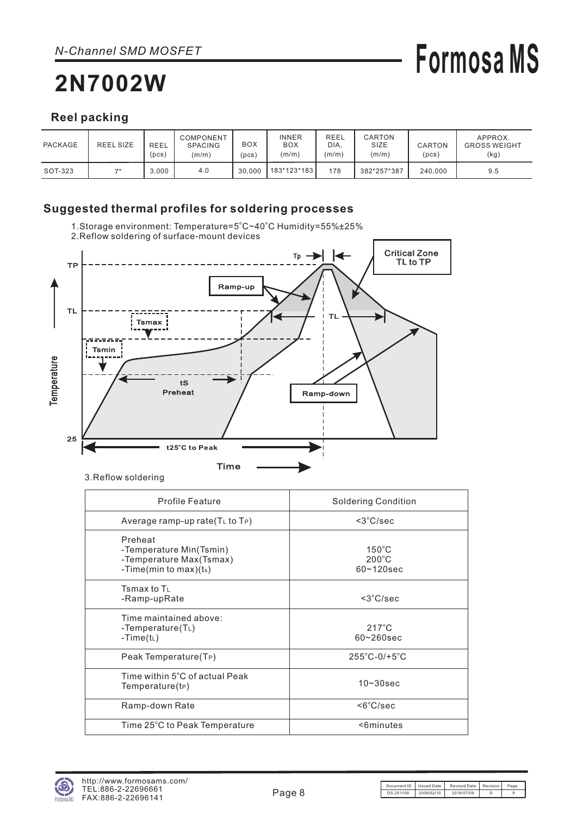## **Formosa MS**

#### **Reel packing**

| PACKAGE | <b>REEL SIZE</b> | <b>REEL</b><br>(pcs) | COMPONENT<br><b>SPACING</b><br>(m/m) | <b>BOX</b><br>pcs) | <b>INNER</b><br><b>BOX</b><br>(m/m) | REEL<br>DIA.<br>(m/m) | CARTON<br>SIZE<br>(m/m) | CARTON<br>(pcs) | APPROX.<br><b>GROSS WEIGHT</b><br>(kg) |
|---------|------------------|----------------------|--------------------------------------|--------------------|-------------------------------------|-----------------------|-------------------------|-----------------|----------------------------------------|
| SOT-323 | 70               | 3.000                | 4.0                                  | 30.000             | l 183*123*183 l                     | 178                   | 382*257*387             | 240,000         | 9.5                                    |

#### **Suggested thermal profiles for soldering processes**

1.Storage environment: Temperature=5°C~40°C Humidity=55%±25%



3.Reflow soldering

| <b>Profile Feature</b>                                                                      | <b>Soldering Condition</b>                           |
|---------------------------------------------------------------------------------------------|------------------------------------------------------|
| Average ramp-up rate $(TL$ to $TP)$                                                         | $<$ 3 $°C/sec$                                       |
| Preheat<br>-Temperature Min(Tsmin)<br>-Temperature Max(Tsmax)<br>-Time(min to max)( $t_s$ ) | $150^{\circ}$ C<br>$200^{\circ}$ C<br>$60 - 120$ sec |
| Tsmax to $T_L$<br>-Ramp-upRate                                                              | $<$ 3 $°C/sec$                                       |
| Time maintained above:<br>-Temperature(TL)<br>-Time(t∟)                                     | $217^{\circ}$ C<br>$60 - 260$ sec                    |
| Peak Temperature(T <sub>P</sub> )                                                           | $255^{\circ}$ C-0/+5 $^{\circ}$ C                    |
| Time within $5^{\circ}$ C of actual Peak<br>Temperature(tP)                                 | $10 - 30$ sec                                        |
| Ramp-down Rate                                                                              | <6°C/sec                                             |
| Time 25°C to Peak Temperature                                                               | <6minutes                                            |
|                                                                                             |                                                      |